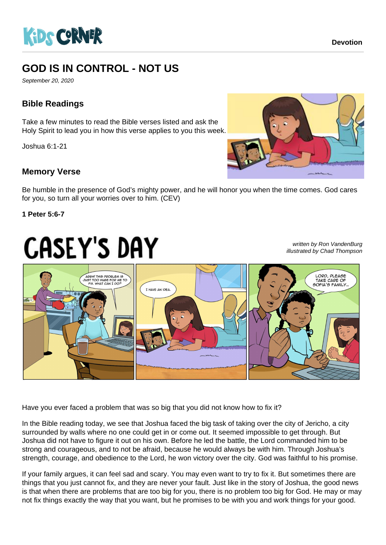

# **GOD IS IN CONTROL - NOT US**

September 20, 2020

## **Bible Readings**

Take a few minutes to read the Bible verses listed and ask the Holy Spirit to lead you in how this verse applies to you this week.

Joshua 6:1-21

### **Memory Verse**



Be humble in the presence of God's mighty power, and he will honor you when the time comes. God cares for you, so turn all your worries over to him. (CEV)

#### **1 Peter 5:6-7**

# **CASEY'S DAY**

written by Ron VandenBurg illustrated by Chad Thompson



Have you ever faced a problem that was so big that you did not know how to fix it?

In the Bible reading today, we see that Joshua faced the big task of taking over the city of Jericho, a city surrounded by walls where no one could get in or come out. It seemed impossible to get through. But Joshua did not have to figure it out on his own. Before he led the battle, the Lord commanded him to be strong and courageous, and to not be afraid, because he would always be with him. Through Joshua's strength, courage, and obedience to the Lord, he won victory over the city. God was faithful to his promise.

If your family argues, it can feel sad and scary. You may even want to try to fix it. But sometimes there are things that you just cannot fix, and they are never your fault. Just like in the story of Joshua, the good news is that when there are problems that are too big for you, there is no problem too big for God. He may or may not fix things exactly the way that you want, but he promises to be with you and work things for your good.